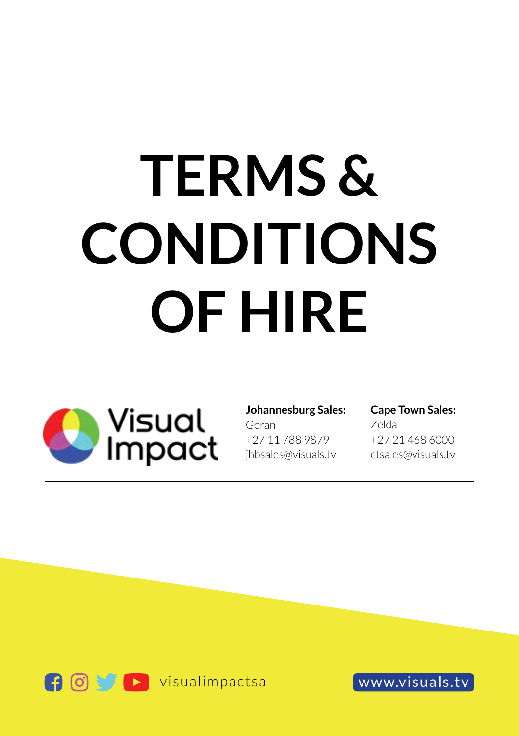# **TERMS & CONDITIONS OF HIRE**



#### **Johannesburg Sales:**

Goran +27 11 788 9879 jhbsales@visuals.tv

## **Cape Town Sales:**

Zelda +27 21 468 6000 ctsales@visuals.tv

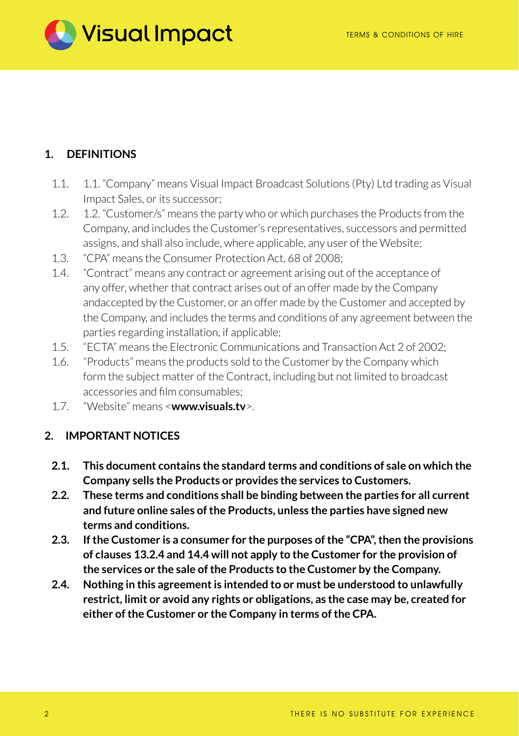

# **1. DEFINITIONS**

- 1.1. 1.1. "Company" means Visual Impact Broadcast Solutions (Pty) Ltd trading as Visual Impact Sales, or its successor;
- 1.2. 1.2. "Customer/s" means the party who or which purchases the Products from the Company, and includes the Customer's representatives, successors and permitted assigns, and shall also include, where applicable, any user of the Website;
- 1.3. "CPA" means the Consumer Protection Act, 68 of 2008;
- 1.4. "Contract" means any contract or agreement arising out of the acceptance of any offer, whether that contract arises out of an offer made by the Company andaccepted by the Customer, or an offer made by the Customer and accepted by the Company, and includes the terms and conditions of any agreement between the parties regarding installation, if applicable;
- 1.5. "ECTA" means the Electronic Communications and Transaction Act 2 of 2002;
- 1.6. "Products" means the products sold to the Customer by the Company which form the subject matter of the Contract, including but not limited to broadcast accessories and film consumables;
- 1.7. "Website" means <**www.visuals.tv**>.

#### **2. IMPORTANT NOTICES**

- **2.1. This document contains the standard terms and conditions of sale on which the Company sells the Products or provides the services to Customers.**
- **2.2. These terms and conditions shall be binding between the parties for all current and future online sales of the Products, unless the parties have signed new terms and conditions.**
- **2.3. If the Customer is a consumer for the purposes of the "CPA", then the provisions of clauses 13.2.4 and 14.4 will not apply to the Customer for the provision of the services or the sale of the Products to the Customer by the Company.**
- **2.4. Nothing in this agreement is intended to or must be understood to unlawfully restrict, limit or avoid any rights or obligations, as the case may be, created for either of the Customer or the Company in terms of the CPA.**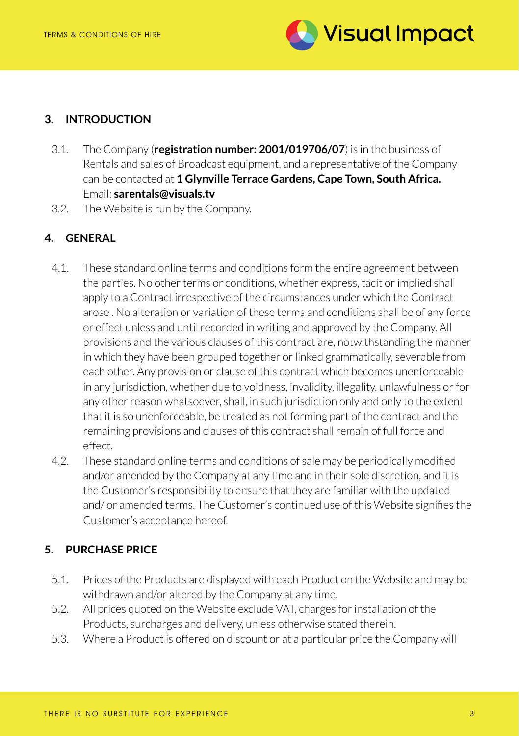

#### **3. INTRODUCTION**

- 3.1. The Company (**registration number: 2001/019706/07**) is in the business of Rentals and sales of Broadcast equipment, and a representative of the Company can be contacted at **1 Glynville Terrace Gardens, Cape Town, South Africa.** Email: **sarentals@visuals.tv**
- 3.2. The Website is run by the Company.

# **4. GENERAL**

- 4.1. These standard online terms and conditions form the entire agreement between the parties. No other terms or conditions, whether express, tacit or implied shall apply to a Contract irrespective of the circumstances under which the Contract arose . No alteration or variation of these terms and conditions shall be of any force or effect unless and until recorded in writing and approved by the Company. All provisions and the various clauses of this contract are, notwithstanding the manner in which they have been grouped together or linked grammatically, severable from each other. Any provision or clause of this contract which becomes unenforceable in any jurisdiction, whether due to voidness, invalidity, illegality, unlawfulness or for any other reason whatsoever, shall, in such jurisdiction only and only to the extent that it is so unenforceable, be treated as not forming part of the contract and the remaining provisions and clauses of this contract shall remain of full force and effect.
- 4.2. These standard online terms and conditions of sale may be periodically modified and/or amended by the Company at any time and in their sole discretion, and it is the Customer's responsibility to ensure that they are familiar with the updated and/ or amended terms. The Customer's continued use of this Website signifies the Customer's acceptance hereof.

## **5. PURCHASE PRICE**

- 5.1. Prices of the Products are displayed with each Product on the Website and may be withdrawn and/or altered by the Company at any time.
- 5.2. All prices quoted on the Website exclude VAT, charges for installation of the Products, surcharges and delivery, unless otherwise stated therein.
- 5.3. Where a Product is offered on discount or at a particular price the Company will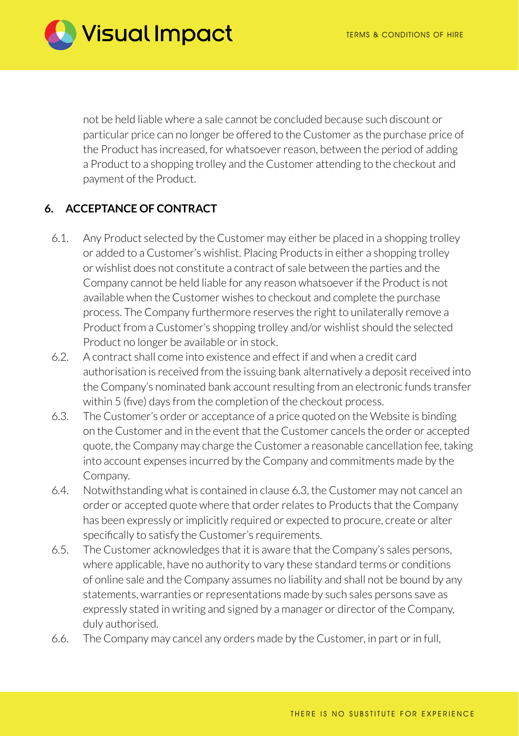

not be held liable where a sale cannot be concluded because such discount or particular price can no longer be offered to the Customer as the purchase price of the Product has increased, for whatsoever reason, between the period of adding a Product to a shopping trolley and the Customer attending to the checkout and payment of the Product.

## **6. ACCEPTANCE OF CONTRACT**

- 6.1. Any Product selected by the Customer may either be placed in a shopping trolley or added to a Customer's wishlist. Placing Products in either a shopping trolley or wishlist does not constitute a contract of sale between the parties and the Company cannot be held liable for any reason whatsoever if the Product is not available when the Customer wishes to checkout and complete the purchase process. The Company furthermore reserves the right to unilaterally remove a Product from a Customer's shopping trolley and/or wishlist should the selected Product no longer be available or in stock.
- 6.2. A contract shall come into existence and effect if and when a credit card authorisation is received from the issuing bank alternatively a deposit received into the Company's nominated bank account resulting from an electronic funds transfer within 5 (five) days from the completion of the checkout process.
- 6.3. The Customer's order or acceptance of a price quoted on the Website is binding on the Customer and in the event that the Customer cancels the order or accepted quote, the Company may charge the Customer a reasonable cancellation fee, taking into account expenses incurred by the Company and commitments made by the Company.
- 6.4. Notwithstanding what is contained in clause 6.3, the Customer may not cancel an order or accepted quote where that order relates to Products that the Company has been expressly or implicitly required or expected to procure, create or alter specifically to satisfy the Customer's requirements.
- 6.5. The Customer acknowledges that it is aware that the Company's sales persons, where applicable, have no authority to vary these standard terms or conditions of online sale and the Company assumes no liability and shall not be bound by any statements, warranties or representations made by such sales persons save as expressly stated in writing and signed by a manager or director of the Company, duly authorised.
- 6.6. The Company may cancel any orders made by the Customer, in part or in full,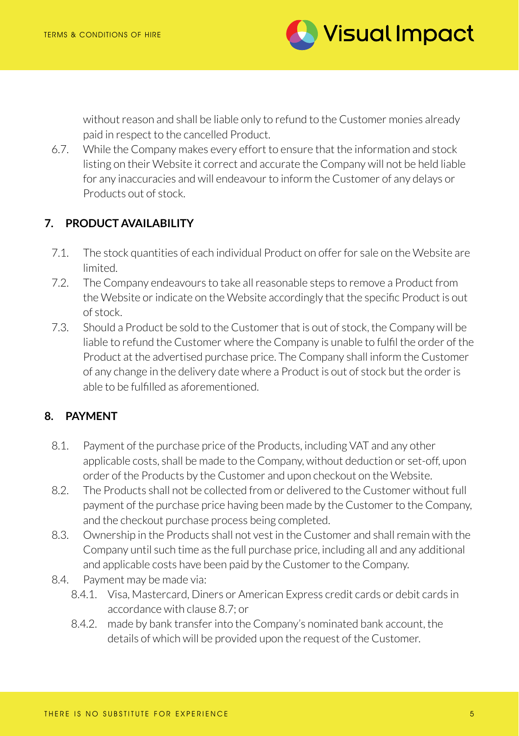

without reason and shall be liable only to refund to the Customer monies already paid in respect to the cancelled Product.

6.7. While the Company makes every effort to ensure that the information and stock listing on their Website it correct and accurate the Company will not be held liable for any inaccuracies and will endeavour to inform the Customer of any delays or Products out of stock.

## **7. PRODUCT AVAILABILITY**

- 7.1. The stock quantities of each individual Product on offer for sale on the Website are limited.
- 7.2. The Company endeavours to take all reasonable steps to remove a Product from the Website or indicate on the Website accordingly that the specific Product is out of stock.
- 7.3. Should a Product be sold to the Customer that is out of stock, the Company will be liable to refund the Customer where the Company is unable to fulfil the order of the Product at the advertised purchase price. The Company shall inform the Customer of any change in the delivery date where a Product is out of stock but the order is able to be fulfilled as aforementioned.

## **8. PAYMENT**

- 8.1. Payment of the purchase price of the Products, including VAT and any other applicable costs, shall be made to the Company, without deduction or set-off, upon order of the Products by the Customer and upon checkout on the Website.
- 8.2. The Products shall not be collected from or delivered to the Customer without full payment of the purchase price having been made by the Customer to the Company, and the checkout purchase process being completed.
- 8.3. Ownership in the Products shall not vest in the Customer and shall remain with the Company until such time as the full purchase price, including all and any additional and applicable costs have been paid by the Customer to the Company.
- 8.4. Payment may be made via:
	- 8.4.1. Visa, Mastercard, Diners or American Express credit cards or debit cards in accordance with clause 8.7; or
	- 8.4.2. made by bank transfer into the Company's nominated bank account, the details of which will be provided upon the request of the Customer.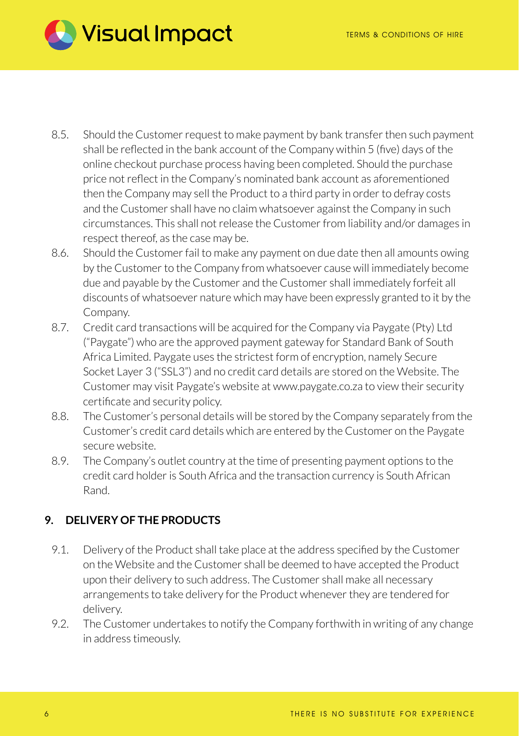

- 8.5. Should the Customer request to make payment by bank transfer then such payment shall be reflected in the bank account of the Company within 5 (five) days of the online checkout purchase process having been completed. Should the purchase price not reflect in the Company's nominated bank account as aforementioned then the Company may sell the Product to a third party in order to defray costs and the Customer shall have no claim whatsoever against the Company in such circumstances. This shall not release the Customer from liability and/or damages in respect thereof, as the case may be.
- 8.6. Should the Customer fail to make any payment on due date then all amounts owing by the Customer to the Company from whatsoever cause will immediately become due and payable by the Customer and the Customer shall immediately forfeit all discounts of whatsoever nature which may have been expressly granted to it by the Company.
- 8.7. Credit card transactions will be acquired for the Company via Paygate (Pty) Ltd ("Paygate") who are the approved payment gateway for Standard Bank of South Africa Limited. Paygate uses the strictest form of encryption, namely Secure Socket Layer 3 ("SSL3") and no credit card details are stored on the Website. The Customer may visit Paygate's website at www.paygate.co.za to view their security certificate and security policy.
- 8.8. The Customer's personal details will be stored by the Company separately from the Customer's credit card details which are entered by the Customer on the Paygate secure website.
- 8.9. The Company's outlet country at the time of presenting payment options to the credit card holder is South Africa and the transaction currency is South African Rand.

# **9. DELIVERY OF THE PRODUCTS**

- 9.1. Delivery of the Product shall take place at the address specified by the Customer on the Website and the Customer shall be deemed to have accepted the Product upon their delivery to such address. The Customer shall make all necessary arrangements to take delivery for the Product whenever they are tendered for delivery.
- 9.2. The Customer undertakes to notify the Company forthwith in writing of any change in address timeously.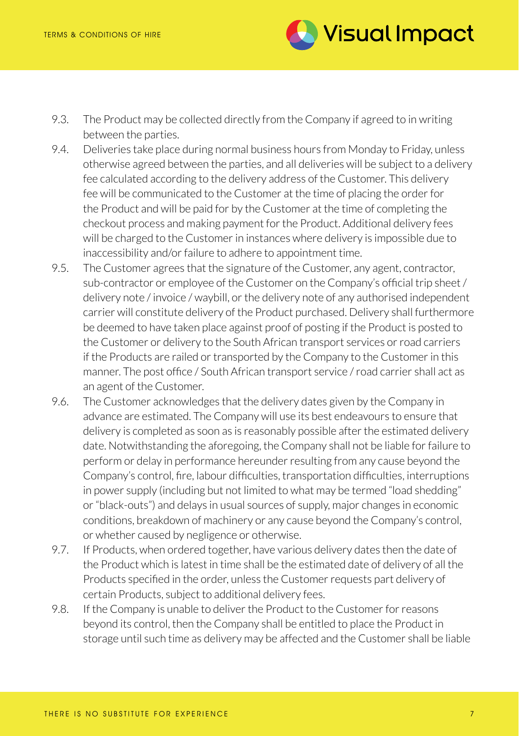

- 9.3. The Product may be collected directly from the Company if agreed to in writing between the parties.
- 9.4. Deliveries take place during normal business hours from Monday to Friday, unless otherwise agreed between the parties, and all deliveries will be subject to a delivery fee calculated according to the delivery address of the Customer. This delivery fee will be communicated to the Customer at the time of placing the order for the Product and will be paid for by the Customer at the time of completing the checkout process and making payment for the Product. Additional delivery fees will be charged to the Customer in instances where delivery is impossible due to inaccessibility and/or failure to adhere to appointment time.
- 9.5. The Customer agrees that the signature of the Customer, any agent, contractor, sub-contractor or employee of the Customer on the Company's official trip sheet / delivery note / invoice / waybill, or the delivery note of any authorised independent carrier will constitute delivery of the Product purchased. Delivery shall furthermore be deemed to have taken place against proof of posting if the Product is posted to the Customer or delivery to the South African transport services or road carriers if the Products are railed or transported by the Company to the Customer in this manner. The post office / South African transport service / road carrier shall act as an agent of the Customer.
- 9.6. The Customer acknowledges that the delivery dates given by the Company in advance are estimated. The Company will use its best endeavours to ensure that delivery is completed as soon as is reasonably possible after the estimated delivery date. Notwithstanding the aforegoing, the Company shall not be liable for failure to perform or delay in performance hereunder resulting from any cause beyond the Company's control, fire, labour difficulties, transportation difficulties, interruptions in power supply (including but not limited to what may be termed "load shedding" or "black-outs") and delays in usual sources of supply, major changes in economic conditions, breakdown of machinery or any cause beyond the Company's control, or whether caused by negligence or otherwise.
- 9.7. If Products, when ordered together, have various delivery dates then the date of the Product which is latest in time shall be the estimated date of delivery of all the Products specified in the order, unless the Customer requests part delivery of certain Products, subject to additional delivery fees.
- 9.8. If the Company is unable to deliver the Product to the Customer for reasons beyond its control, then the Company shall be entitled to place the Product in storage until such time as delivery may be affected and the Customer shall be liable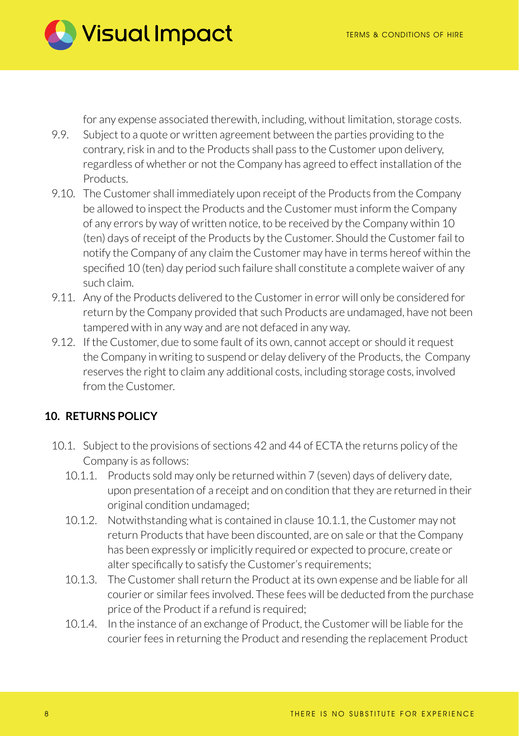**Visual Impact** 

for any expense associated therewith, including, without limitation, storage costs.

- 9.9. Subject to a quote or written agreement between the parties providing to the contrary, risk in and to the Products shall pass to the Customer upon delivery, regardless of whether or not the Company has agreed to effect installation of the Products.
- 9.10. The Customer shall immediately upon receipt of the Products from the Company be allowed to inspect the Products and the Customer must inform the Company of any errors by way of written notice, to be received by the Company within 10 (ten) days of receipt of the Products by the Customer. Should the Customer fail to notify the Company of any claim the Customer may have in terms hereof within the specified 10 (ten) day period such failure shall constitute a complete waiver of any such claim.
- 9.11. Any of the Products delivered to the Customer in error will only be considered for return by the Company provided that such Products are undamaged, have not been tampered with in any way and are not defaced in any way.
- 9.12. If the Customer, due to some fault of its own, cannot accept or should it request the Company in writing to suspend or delay delivery of the Products, the Company reserves the right to claim any additional costs, including storage costs, involved from the Customer.

## **10. RETURNS POLICY**

- 10.1. Subject to the provisions of sections 42 and 44 of ECTA the returns policy of the Company is as follows:
	- 10.1.1. Products sold may only be returned within 7 (seven) days of delivery date, upon presentation of a receipt and on condition that they are returned in their original condition undamaged;
	- 10.1.2. Notwithstanding what is contained in clause 10.1.1, the Customer may not return Products that have been discounted, are on sale or that the Company has been expressly or implicitly required or expected to procure, create or alter specifically to satisfy the Customer's requirements;
	- 10.1.3. The Customer shall return the Product at its own expense and be liable for all courier or similar fees involved. These fees will be deducted from the purchase price of the Product if a refund is required;
	- 10.1.4. In the instance of an exchange of Product, the Customer will be liable for the courier fees in returning the Product and resending the replacement Product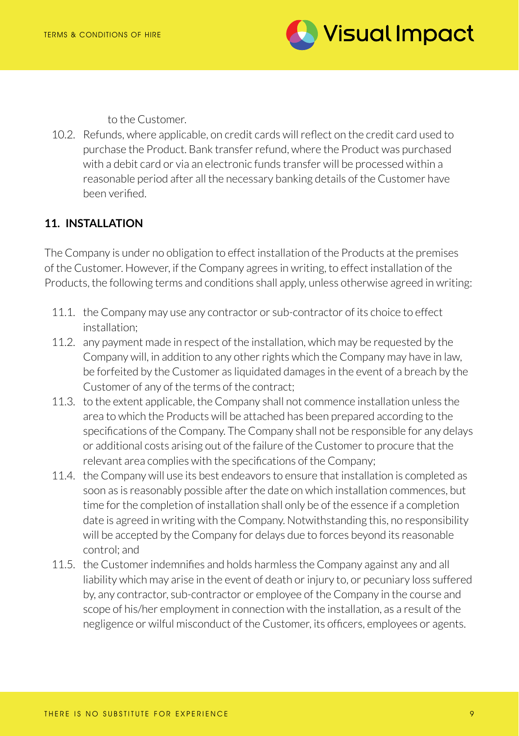

to the Customer.

10.2. Refunds, where applicable, on credit cards will reflect on the credit card used to purchase the Product. Bank transfer refund, where the Product was purchased with a debit card or via an electronic funds transfer will be processed within a reasonable period after all the necessary banking details of the Customer have been verified.

# **11. INSTALLATION**

The Company is under no obligation to effect installation of the Products at the premises of the Customer. However, if the Company agrees in writing, to effect installation of the Products, the following terms and conditions shall apply, unless otherwise agreed in writing:

- 11.1. the Company may use any contractor or sub-contractor of its choice to effect installation;
- 11.2. any payment made in respect of the installation, which may be requested by the Company will, in addition to any other rights which the Company may have in law, be forfeited by the Customer as liquidated damages in the event of a breach by the Customer of any of the terms of the contract;
- 11.3. to the extent applicable, the Company shall not commence installation unless the area to which the Products will be attached has been prepared according to the specifications of the Company. The Company shall not be responsible for any delays or additional costs arising out of the failure of the Customer to procure that the relevant area complies with the specifications of the Company;
- 11.4. the Company will use its best endeavors to ensure that installation is completed as soon as is reasonably possible after the date on which installation commences, but time for the completion of installation shall only be of the essence if a completion date is agreed in writing with the Company. Notwithstanding this, no responsibility will be accepted by the Company for delays due to forces beyond its reasonable control; and
- 11.5. the Customer indemnifies and holds harmless the Company against any and all liability which may arise in the event of death or injury to, or pecuniary loss suffered by, any contractor, sub-contractor or employee of the Company in the course and scope of his/her employment in connection with the installation, as a result of the negligence or wilful misconduct of the Customer, its officers, employees or agents.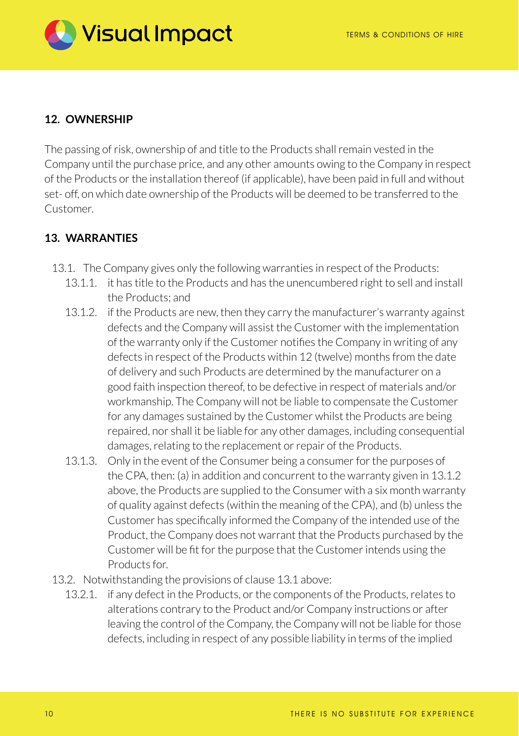

## **12. OWNERSHIP**

The passing of risk, ownership of and title to the Products shall remain vested in the Company until the purchase price, and any other amounts owing to the Company in respect of the Products or the installation thereof (if applicable), have been paid in full and without set- off, on which date ownership of the Products will be deemed to be transferred to the Customer.

# **13. WARRANTIES**

- 13.1. The Company gives only the following warranties in respect of the Products:
	- 13.1.1. it has title to the Products and has the unencumbered right to sell and install the Products; and
	- 13.1.2. if the Products are new, then they carry the manufacturer's warranty against defects and the Company will assist the Customer with the implementation of the warranty only if the Customer notifies the Company in writing of any defects in respect of the Products within 12 (twelve) months from the date of delivery and such Products are determined by the manufacturer on a good faith inspection thereof, to be defective in respect of materials and/or workmanship. The Company will not be liable to compensate the Customer for any damages sustained by the Customer whilst the Products are being repaired, nor shall it be liable for any other damages, including consequential damages, relating to the replacement or repair of the Products.
	- 13.1.3. Only in the event of the Consumer being a consumer for the purposes of the CPA, then: (a) in addition and concurrent to the warranty given in 13.1.2 above, the Products are supplied to the Consumer with a six month warranty of quality against defects (within the meaning of the CPA), and (b) unless the Customer has specifically informed the Company of the intended use of the Product, the Company does not warrant that the Products purchased by the Customer will be fit for the purpose that the Customer intends using the Products for.
- 13.2. Notwithstanding the provisions of clause 13.1 above:
	- 13.2.1. if any defect in the Products, or the components of the Products, relates to alterations contrary to the Product and/or Company instructions or after leaving the control of the Company, the Company will not be liable for those defects, including in respect of any possible liability in terms of the implied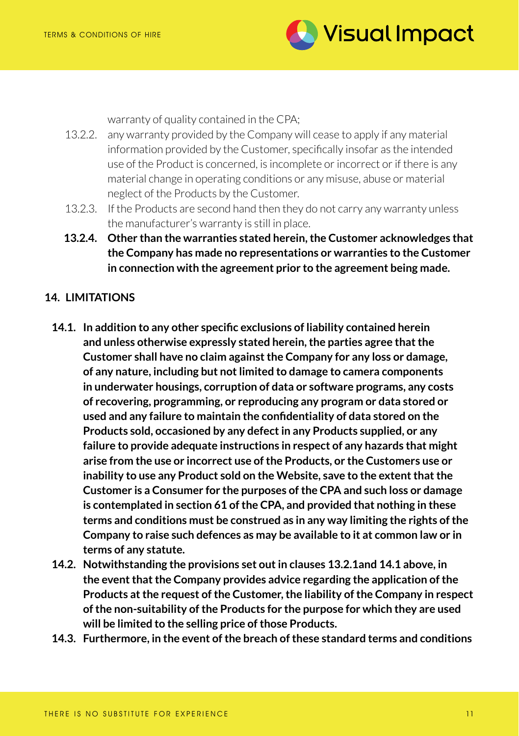

warranty of quality contained in the CPA;

- 13.2.2. any warranty provided by the Company will cease to apply if any material information provided by the Customer, specifically insofar as the intended use of the Product is concerned, is incomplete or incorrect or if there is any material change in operating conditions or any misuse, abuse or material neglect of the Products by the Customer.
- 13.2.3. If the Products are second hand then they do not carry any warranty unless the manufacturer's warranty is still in place.
- **13.2.4. Other than the warranties stated herein, the Customer acknowledges that the Company has made no representations or warranties to the Customer in connection with the agreement prior to the agreement being made.**

## **14. LIMITATIONS**

- **14.1. In addition to any other specific exclusions of liability contained herein and unless otherwise expressly stated herein, the parties agree that the Customer shall have no claim against the Company for any loss or damage, of any nature, including but not limited to damage to camera components in underwater housings, corruption of data or software programs, any costs of recovering, programming, or reproducing any program or data stored or used and any failure to maintain the confidentiality of data stored on the Products sold, occasioned by any defect in any Products supplied, or any failure to provide adequate instructions in respect of any hazards that might arise from the use or incorrect use of the Products, or the Customers use or inability to use any Product sold on the Website, save to the extent that the Customer is a Consumer for the purposes of the CPA and such loss or damage is contemplated in section 61 of the CPA, and provided that nothing in these terms and conditions must be construed as in any way limiting the rights of the Company to raise such defences as may be available to it at common law or in terms of any statute.**
- **14.2. Notwithstanding the provisions set out in clauses 13.2.1and 14.1 above, in the event that the Company provides advice regarding the application of the Products at the request of the Customer, the liability of the Company in respect of the non-suitability of the Products for the purpose for which they are used will be limited to the selling price of those Products.**
- **14.3. Furthermore, in the event of the breach of these standard terms and conditions**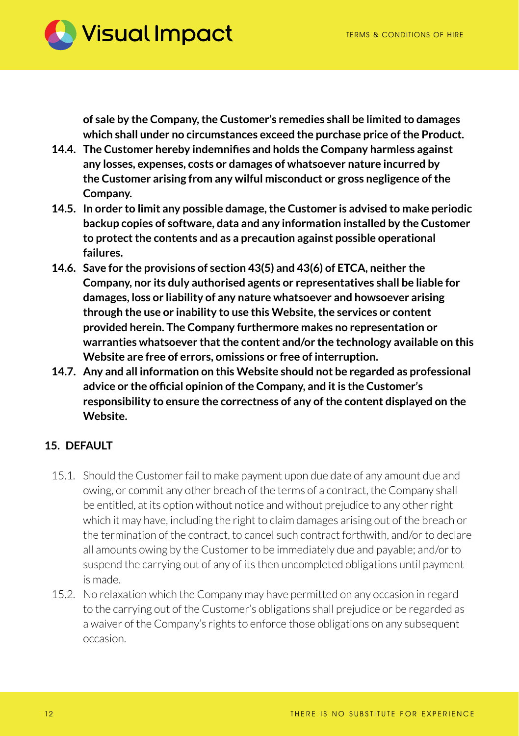

**of sale by the Company, the Customer's remedies shall be limited to damages which shall under no circumstances exceed the purchase price of the Product.**

- **14.4. The Customer hereby indemnifies and holds the Company harmless against any losses, expenses, costs or damages of whatsoever nature incurred by the Customer arising from any wilful misconduct or gross negligence of the Company.**
- **14.5. In order to limit any possible damage, the Customer is advised to make periodic backup copies of software, data and any information installed by the Customer to protect the contents and as a precaution against possible operational failures.**
- **14.6. Save for the provisions of section 43(5) and 43(6) of ETCA, neither the Company, nor its duly authorised agents or representatives shall be liable for damages, loss or liability of any nature whatsoever and howsoever arising through the use or inability to use this Website, the services or content provided herein. The Company furthermore makes no representation or warranties whatsoever that the content and/or the technology available on this Website are free of errors, omissions or free of interruption.**
- **14.7. Any and all information on this Website should not be regarded as professional advice or the official opinion of the Company, and it is the Customer's responsibility to ensure the correctness of any of the content displayed on the Website.**

## **15. DEFAULT**

- 15.1. Should the Customer fail to make payment upon due date of any amount due and owing, or commit any other breach of the terms of a contract, the Company shall be entitled, at its option without notice and without prejudice to any other right which it may have, including the right to claim damages arising out of the breach or the termination of the contract, to cancel such contract forthwith, and/or to declare all amounts owing by the Customer to be immediately due and payable; and/or to suspend the carrying out of any of its then uncompleted obligations until payment is made.
- 15.2. No relaxation which the Company may have permitted on any occasion in regard to the carrying out of the Customer's obligations shall prejudice or be regarded as a waiver of the Company's rights to enforce those obligations on any subsequent occasion.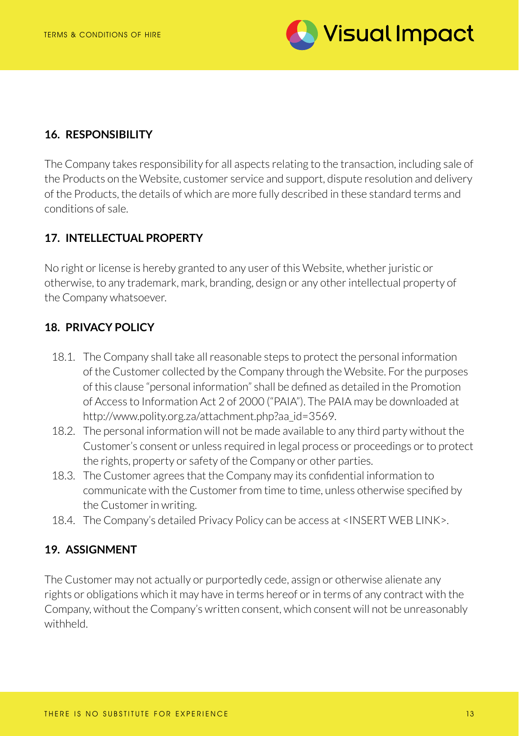

## **16. RESPONSIBILITY**

The Company takes responsibility for all aspects relating to the transaction, including sale of the Products on the Website, customer service and support, dispute resolution and delivery of the Products, the details of which are more fully described in these standard terms and conditions of sale.

# **17. INTELLECTUAL PROPERTY**

No right or license is hereby granted to any user of this Website, whether juristic or otherwise, to any trademark, mark, branding, design or any other intellectual property of the Company whatsoever.

#### **18. PRIVACY POLICY**

- 18.1. The Company shall take all reasonable steps to protect the personal information of the Customer collected by the Company through the Website. For the purposes of this clause "personal information" shall be defined as detailed in the Promotion of Access to Information Act 2 of 2000 ("PAIA"). The PAIA may be downloaded at http://www.polity.org.za/attachment.php?aa\_id=3569.
- 18.2. The personal information will not be made available to any third party without the Customer's consent or unless required in legal process or proceedings or to protect the rights, property or safety of the Company or other parties.
- 18.3. The Customer agrees that the Company may its confidential information to communicate with the Customer from time to time, unless otherwise specified by the Customer in writing.
- 18.4. The Company's detailed Privacy Policy can be access at <INSERT WEB LINK>.

#### **19. ASSIGNMENT**

The Customer may not actually or purportedly cede, assign or otherwise alienate any rights or obligations which it may have in terms hereof or in terms of any contract with the Company, without the Company's written consent, which consent will not be unreasonably withheld.